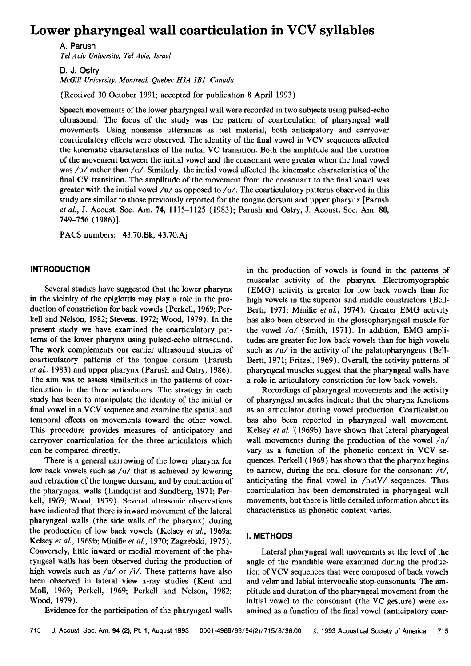# **Lower pharyngeal wall coarticulation in VCV syllables**

**A. Parush**  Tel Aviv University, Tel Aviv, Israel

**D. J. Ostry**  McGill University, Montreal, Quebec H3A 1B1, Canada

**(Received 30 October 1991; accepted for publication 8 April 1993)** 

**Speech movements of the lower pharyngeal wall were recorded in two subjects using pulsed-echo ultrasound. The focus of the study was the pattern of coarticulation of pharyngeal wall movements. Using nonsense utterances as test material, both anticipatory and carryover coarticulatory effects were observed. The identity of. the final vowel in VCV sequences affected the kinematic characteristics of the initial VC transition. Both the amplitude and the duration of the movement between the initial vowel and the consonant were greater when the final vowel was** /**u**/ rather than /**q**/. Similarly, the initial vowel affected the kinematic characteristics of the final CV transition. The amplitude of the movement from the consonant to the final vowel was greater with the initial vowel  $/u/$  as opposed to  $/a/$ . The coarticulatory patterns observed in this **study are similar to those previously reported for the tongue dorsum and upper pharynx [Parush et al., J. Acoust. Soc. Am. 74, 1115-1125 (1983); Parush and Ostry, J. Acoust. Soc. Am. 80, 749-756 ( 1986)].** 

**PACS numbers: 43.70.Bk, 43.70. Aj** 

#### **INTRODUCTION**

Several studies have suggested that the lower pharynx **in the vicinity of the epiglottis may play a role in the production of constriction for back vowels (Perkell, 1969;.Perkell and Nelson, 1982; Stevens, 1972; Wood, 1979). In the present study we have examined the coarticulatory patterns of the lower pharynx using pulsed-echo ultrasound. The work complements our earlier ultrasound studies of coarticulatory patterns of the tongue dorsum (Parush et al., 1983) and upper pharynx (Parush and Ostry, 1986).**  The aim was to assess similarities in the patterns of coar**ticulation in the three articulators. The strategy in each study has been to manipulate the identity of the initial or final vowel in a VCV sequence and examine the spatial and temporal effects on movements toward the other vowel. This procedure provides measures of anticipatory and carryover coarticulation for the three articulators which can be compared directly.** 

**There is a general narrowing of the lower pharynx for**  low back vowels such as /o/ that is achieved by lowering **and retraction of the tongue dorsum, and by contraction of the pharyngeal walls (Lindquist and Sundberg, 1971; Perkell, 1969; Wood, 1979). Several ultrasonic observations have indicated that there is inward movement of the lateral pharyngeal walls (the side walls of the pharynx) during the production of low back vowels (Kelsey et al., 1969a; Kelsey et al., 1969b; Minifie et al., 1970; Zagzebski, 1975). Conversely, little inward or medial movement of the pharyngeal walls has been observed during the production of**  high vowels such as /u/ or /i/. These patterns have also **been observed in lateral view x-ray studies (Kent and Moll, 1969; Perkell, 1969; Perkell and Nelson, 1982; Wood, 1979).** 

**in the production of vowels is found in the patterns of muscular activity of the pharynx. Electromyographic (EMG) activity is greater for low back vowels than for high vowels in the superior and middle constrictors (Bell-Berti, 1971; Minifie et al., 1974). Greater EMG activity has also been observed in the glossopharyngeal muscle for the vowel /o/ (Smith, 1971). In addition, EMG amplitudes are greater for low back vowels than for high vowels**  such as /u/ in the activity of the palatopharyngeus (Bell-**Berti, 1971; Fritzel, 1969). Overall, the activity patterns of pharyngeal muscles suggest that the pharyngeal walls have a role in articulatory constriction for low back vowels.** 

**Recordings of pharyngeal movements and the activity of pharyngeal muscles indicate that the pharynx functions as an articulator during vowel production. Coarticulation has also been reported in pharyngeal wall movement. Kelsey et al. (1969b) have shown that lateral pharyngeal wall movements during the production of the vowel/a/ vary as a function of the phonetic context in VCV sequences. Perkell (1969) has shown that the pharynx begins to narrow, during the oral closure for the consonant/t/, anticipating the final vowel in /hatV/ sequences. Thus coarticulation has been demonstrated in pharyngeal wall movements, but there is little detailed information about its characteristics as phonetic context varies.** 

### **I. METHODS**

**Lateral pharyngeal wall movements at the level of the angle of the mandible were examined during the production of VCV sequences that were composed of back vowels and velar and labial intervocalic stop-consonants. The amplitude and duration of the pharyngeal movement from the initial vowel to the consonant (the VC gesture) were examined as a function of the final vowel (anticipatory coar-**

**Evidence for the participation of the pharyngeal walls**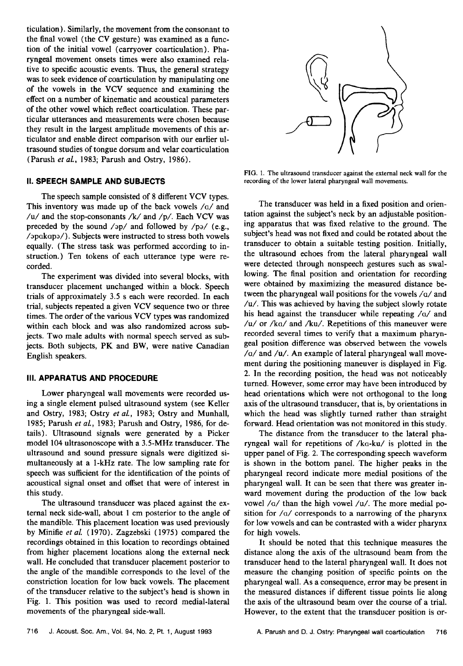**ticulation). Similarly, the movement from the consonant to the final vowel (the CV gesture) was examined as a function of the initial vowel (carryover coarticulation). Pharyngeal movement onsets times were also examined relative to specific acoustic events. Thus, the general strategy was to seek evidence of coarticulation by manipulating one of the vowels in the VCV sequence and examining the effect on a number of kinematic and acoustical parameters of the other vowel which reflect eoarticulation. These particular utterances and measurements were chosen because they result in the largest amplitude movements of this articulator and enable direct comparison with our earlier ultrasound studies of tongue dorsum and velar coarticulation (Parush et al., 1983; Parush and Ostry, 1986).** 

# **II. SPEECH SAMPLE AND SUBJECTS**

**The speech sample consisted of 8 different VCV types.**  This inventory was made up of the back vowels /a/ and **/u/and the stop-consonants/k/and/p/. Each VCV was preceded by the sound /op/ and followed by /p•/ (e.g., /apokopa/). Subjects were instructed to stress both vowels equally. (The stress task was performed according to instruction.) Ten tokens of each utterance type were recorded.** 

**The experiment was divided into several blocks, with transducer placement unchanged within a block. Speech trials of approximately 3.5 s each were recorded. In each trial, subjects repeated a given VCV sequence two or three times. The order of the various VCV types was randomized within each block and was also randomized across subjects. Two male adults with normal speech served as subjects. Both subjects, PK and BW, were native Canadian English speakers.** 

#### **III. APPARATUS AND PROCEDURE**

**Lower pharyngeal wall movements were recorded using a single element pulsed ultrasound system (see Keller and Ostry, 1983; Ostry et al., 1983; Ostry and Munhall, 1985; Parush et al., 1983; Parush and Ostry, 1986, for details). Ultrasound signals were generated by a Picker model 104 ultrasonoscope with a 3.5-MHz transducer. The ultrasound and sound pressure signals were digitized simultaneously at a 1-kHz rate. The low sampling rate for speech was sufficient for the identification of the points of acoustical signal onset and offset that were of interest in this study.** 

**The ultrasound transducer was placed against the external neck side-wall, about 1 cm posterior to the angle of the mandible. This placement location was used previously by Minifie et al. (1970). Zagzebski (1975) compared the recordings obtained in this location to recordings obtained from higher placement locations along the external neck wall. He concluded that transducer placement posterior to the angle of the mandible corresponds to the level of the constriction location for low back vowels. The placement of the transducer relative to the subject's head is shown in Fig. 1. This position was used to record medial-lateral movements of the pharyngeal side-wall.** 



**FIG. 1. The ultrasound transducer against the external neck wall for the recording of the lower lateral pharyngeal wall movements.** 

**The transducer was held in a fixed position and orientation against the subject's neck by an adjustable positioning apparatus that was fixed relative to the ground. The subject's head was not fixed and could be rotated about the transducer to obtain a suitable testing position. Initially, the ultrasound echoes from the lateral pharyngeal wall were detected through nonspeech gestures such as swallowing. The final position and orientation for recording were obtained by maximizing the measured distance between the pharyngeal wall positions for the vowels/o/and /u/. This was achieved by having the subject slowly rotate his head against the transducer while repeating /o/ and**  /u/ or /ka/ and /ku/. Repetitions of this maneuver were **recorded several times to verify that a maximum pharyngeal position difference was observed between the vowels /o/and/u/. An example of lateral pharyngeal wall movement during the positioning maneuver is displayed in Fig. 2. In the recording position, the head was not noticeably turned. However, some error may have been introduced by head orientations which were not orthogonal to the long axis of the ultrasound transducer, that is, by orientations in which the head was slightly turned rather than straight forward. Head orientation was not monitored in this study.** 

**The distance from the transducer to the lateral pharyngeal wall for repetitions of/ko-ku/ is plotted in the upper panel of Fig. 2. The corresponding speech waveform is shown in the bottom panel. The higher peaks in the pharyngeal record indicate more medial positions of the pharyngeal wall. It can be seen that there was greater inward movement during the production of the low back**  vowel /a/ than the high vowel /u/. The more medial po**sition for/o/corresponds to a narrowing of the pharynx for low vowels and can be contrasted with a wider pharynx for high vowels.** 

**It should be noted that this technique measures the distance along the axis of the ultrasound beam from the transducer head to the lateral pharyngeal wall. It does not measure the changing position of specific points on the**  pharyngeal wall. As a consequence, error may be present in **the measured distances if different tissue points lie along the axis of the ultrasound beam over the course of a trial. However, to the extent that the transducer position is or-**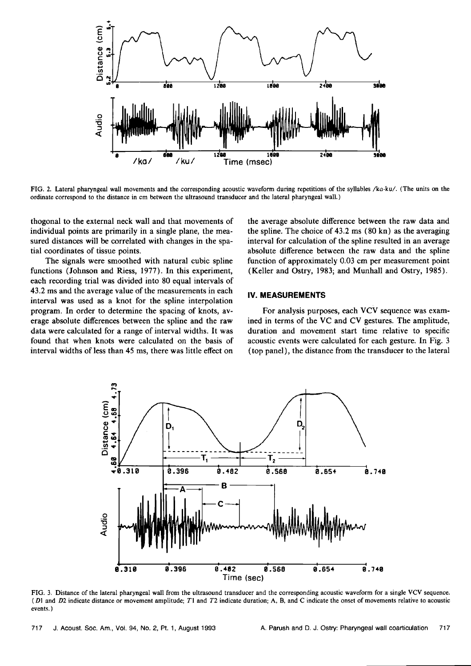

**FIG. 2. Lateral pharyngeal wall movements and the corresponding acoustic waveform during repetitions of the syllables/ko-ku/. (The units on the ordinate correspond to the distance in cm between the ultrasound transducer and the lateral pharyngeal wall.)** 

**thogonal to the external neck wall and that movements of individual points are primarily in a single plane, the measured distances will be correlated with changes in the spatial coordinates of tissue points.** 

**The signals were smoothed with natural cubic spline functions (Johnson and Riess, 1977). In this experiment, each recording trial was divided into 80 equal intervals of 43.2 ms and the average value of the measurements in each interval was used as a knot for the spline interpolation program. In order to determine the spacing of knots, average absolute differences between the spline and the raw data were calculated for a range of interval widths. It was found that when knots were calculated on the basis of interval widths of less than 45 ms, there was little effect on** 

**the average absolute difference between the raw data and the spline. The choice of 43.2 ms (80 kn) as the averaging interval for calculation of the spline resulted in an average absolute difference between the raw data and the spline function of approximately 0.03 cm per measurement point (Keller and Ostry, 1983; and Munhall and Ostry, 1985).** 

#### **IV. MEASUREMENTS**

For analysis purposes, each VCV sequence was exam**ined in terms of the VC and CV gestures. The amplitude, duration and movement start time relative to specific acoustic events were calculated for each gesture. In Fig. 3 (top panel), the distance from the transducer to the lateral** 



**FIG. 3. Distance of the lateral pharyngeal wall from the ultrasound transducer and the corresponding acoustic waveform for a single VCV sequence. ( DI and D2 indicate distance or movement amplitude; TI and T2 indicate duration; A, B, and C indicate the onset of movements relative to acoustic events. )**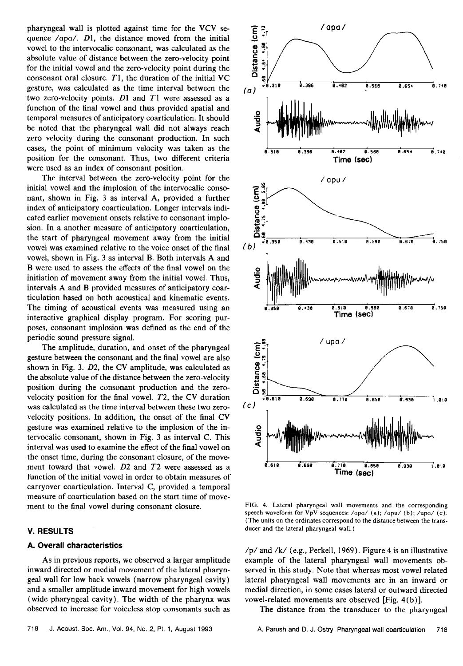**pharyngeal wall is plotted against time for the VCV sequence /opo/. DI, the distance moved from the initial vowel to the intervocalic consonant, was calculated as the absolute value of distance between the zero-velocity point for the initial vowel and the zero-velocity point during the consonant oral closure. T1, the duration of the initial VC gesture, was calculated as the time interval between the two zero-velocity points. D1 and T1 were assessed as a function of the final vowel and thus provided spatial and temporal measures of anticipatory coarticulation. Itshould be noted that the pharyngeal wall did not always reach zero velocity during the consonant production. In such cases, the point of minimum velocity was taken as the position for the consonant. Thus, two different criteria were used as an index of consonant position.** 

**The interval between the zero-velocity point for the initial vowel and the implosion of the intervocalic consonant, shown in Fig. 3 as interval A, provided a further index of anticipatory coarticulation. Longer intervals indicated earlier movement onsets relative to consonant implosion. In a another measure of anticipatory coarticulation, the start of pharyngeal movement away from the initial vowel was examined relative to the voice onset of the final vowel, shown in Fig. 3 as interval B. Both intervals A and B were used to assess the effects of the final vowel on the initiation of movement away from the initial vowel. Thus, intervals A and B provided measures of anticipatory coarticulation based on both acoustical and kinematic events. The timing of acoustical events was measured using an interactive graphical display program. For scoring purposes, consonant implosion was defined as the end of the periodic sound pressure signal.** 

**The amplitude, duration, and onset of the pharyngeal gesture between the consonant and the final vowel are also shown in Fig. 3. D2, the CV amplitude, was calculated as the absolute value of the distance between the zero-velocity position during the consonant production and the zerovelocity position for the final vowel. T2, the CV duration was calculated as the time interval between these two zerovelocity positions. In addition, the onset of the final CV gesture was examined relative to the implosion of the intervocalic consonant, shown in Fig. 3 as interval C. This interval was used to examine the effect of the final vowel on the onset time, during the consonant closure, of the movement toward that vowel. D2 and T2 were assessed as a function of the initial vowel in order to obtain measures of carryover coarticulation. Interval C, provided a temporal measure of coarticulation based on the start time of movement to the final vowel during consonant closure.** 

# **V. RESULTS**

# **A. Overall characteristics**

**As in previous reports, we observed a larger amplitude inward directed or medial movement of the lateral pharyngeal wall for low back vowels (narrow pharyngeal cavity) and a smaller amplitude inward movement for high vowels (wide pharyngeal cavity). The width of the pharynx was observed to increase for voiceless stop consonants such as** 



**FIG. 4. Lateral pharyngeal wall movements and the corresponding speech waveform for VpV sequences: /apa/ (a); /apu/ (b); /upo/ (c). (The units on the ordinates correspond to the distance between the transducer and the lateral pharyngeal wall.)** 

**/p/ and /k/ (e.g., Perkell, 1969). Figure 4 is an illustrative example of the lateral pharyngeal wall movements observed in this study. Note that whereas most vowel related lateral pharyngeal wall movements are in an inward or medial direction, in some cases lateral or outward directed vowel-related movements are observed [Fig. 4(b)].** 

**The distance from the transducer to the pharyngeal**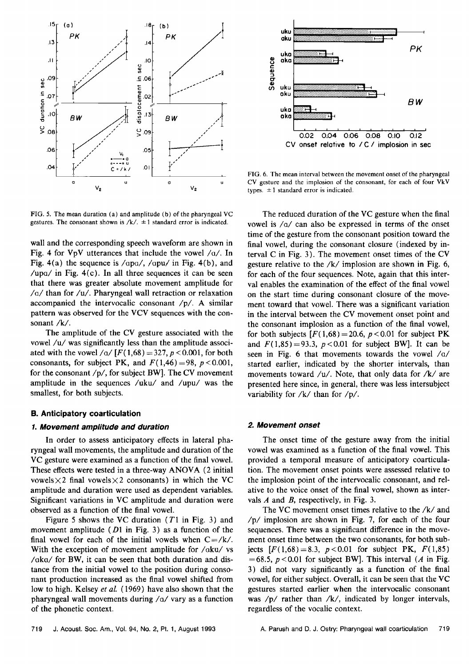

**FIG. 5. The mean duration (a) and amplitude (b) of the pharyngeal VC**  gestures. The consonant shown is  $/k/$ .  $\pm 1$  standard error is indicated.

**wall and the corresponding speech waveform are shown in**  Fig. 4 for  $VpV$  utterances that include the vowel  $/a/$ . In Fig. 4(a) the sequence is /apa/, /apu/ in Fig. 4(b), and /upa/ in Fig. 4(c). In all three sequences it can be seen **that there was greater absolute movement amplitude for /o/than for/u/. Pharyngeal wall retraction or relaxation accompanied the intervocalic consonant /p/. A similar pattern was observed for the VCV sequences with the consonant/k/.** 

**The amplitude of the CV gesture associated with the**  vowel /u/ was significantly less than the amplitude associated with the vowel / $a / [F(1,68) = 327, p < 0.001$ , for both consonants, for subject PK, and  $F(1,46) = 98$ ,  $p < 0.001$ , **for the consonant/p/, for subject BW]. The CV movement amplitude in the sequences /uku/ and /upu/ was the smallest, for both subjects.** 

#### **B. Anticipatory coarticulation**

# **1. Movement amplitude and duration**

**In order to assess anticipatory effects in lateral pharyngeal wall movements, the amplitude and duration of the VC gesture were examined as a function of the final vowel. These effects were tested in a three-way ANOVA (2 initial**  vowels  $\times$ 2 final vowels  $\times$ 2 consonants) in which the VC **amplitude and duration were used as dependent variables. Significant variations in VC amplitude and duration were observed as a function of the final vowel.** 

**Figure 5 shows the VC duration (T1 in Fig. 3) and movement amplitude (D1 in Fig. 3) as a function of the**  final vowel for each of the initial vowels when  $C = /k/$ . With the exception of movement amplitude for /oku/ vs **/oko/for BW, it can be seen that both duration and distance from the initial vowel to the position during consonant production increased as the final vowel shifted from low to high. Kelsey et al. (1969) have also shown that the pharyngeal wall movements during/a/vary as a function of the phonetic context.** 



**FIG. 6. The mean interval between the movement onset of the pharyngeal**  CV gesture and the implosion of the consonant, for each of four VkV types.  $\pm 1$  standard error is indicated.

**The reduced duration of the VC gesture when the final vowel is /a/ can also be expressed in terms of the onset time of the gesture from the consonant position toward the final vowel, during the consonant closure (indexed by interval C in Fig. 3). The movement onset times of the CV gesture relative to the/k/implosion are shown in Fig. 6, for each of the four sequences. Note, again that this interval enables the examination of the effect of the final vowel on the start time during consonant closure of the movement toward that vowel. There was a significant variation in the interval between the CV movement onset point and the consonant implosion as a function of the final vowel,**  for both subjects  $[F(1,68) = 20.6, p < 0.01$  for subject PK and  $F(1,85) = 93.3$ ,  $p < 0.01$  for subject BW]. It can be **seen in Fig. 6 that movements towards the vowel /o/ started earlier, indicated by the shorter intervals, than movements toward/u/. Note, that only data for/k/are presented here since, in general, there was less intersubject**  variability for /k/ than for /p/.

#### **2. Movement onset**

**The onset time of the gesture away from the initial vowel was examined as a function of the final vowel. This provided a temporal measure of anticipatory coarticulation. The movement onset points were assessed relative to the implosion point of the intervocalic consonant, and relative to the voice onset of the final vowel, shown as intervals A and B, respectively, in Fig. 3.** 

**The VC movement onset times relative to the/k/and /p/ implosion are shown in Fig. 7, for each of the four sequences. There was a significant difference in the movement onset time between the two consonants, for both subjects**  $[F(1,68) = 8.3, p < 0.01$  for subject PK,  $F(1,85)$  $=68.5$ ,  $p < 0.01$  for subject BW]. This interval (A in Fig. **3) did not vary significantly as a function of the final vowel, for either subject. Overall, it can be seen that the VC gestures started earlier when the intervocalic consonant was /p/ rather than /k/, indicated by longer intervals, regardless of the vocalic context.**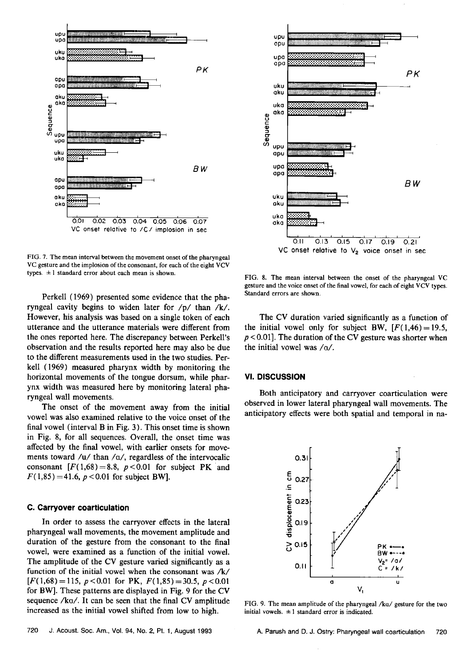

**FIG. 7. The mean interval between the movement onset of the pharyngeal VC gesture and the implosion of the consonant, for each of the eight VCV**  types.  $\pm 1$  standard error about each mean is shown.

**Perkell (1969) presented some evidence that the pharyngeal cavity begins to widen later for /p/ than /k/. However, his analysis was based on a single token of each utterance and the utterance materials were different from the ones reported here. The discrepancy between Perkell's observation and the results reported here may also be due to the different measurements used in the two studies. Perkell (1969) measured pharynx width by monitoring the**  horizontal movements of the tongue dorsum, while phar**ynx width was measured here by monitoring lateral pharyngeal wall movements.** 

**The onset of the movement away from the initial vowel was also examined relative to the voice onset of the final vowel (interval B in Fig. 3). This onset time is shown in Fig. 8, for all sequences. Overall, the onset time was affected by the final vowel, with earlier onsets for move**ments toward /u/ than /o/, regardless of the intervocalic consonant  $[F(1,68) = 8.8, p < 0.01$  for subject PK and  $F(1,85) = 41.6$ ,  $p < 0.01$  for subject BW].

#### **C. Carryover coarticulation**

**In order to assess the carryover effects in the lateral pharyngeal wall movements, the movement amplitude and duration of the gesture from the consonant to the final vowel, were examined as a function of the initial vowel. The amplitude of the CV gesture varied significantly as a function of the initial vowel when the consonant was/k/**   $[F(1,68)=115, p<0.01$  for PK,  $F(1,85)=30.5, p<0.01$ **for BW]. These patterns are displayed in Fig. 9 for the CV sequence/ka/. It can be seen that the final CV amplitude increased as the initial vowel shifted from low to high.** 



**FIG. 8. The mean interval between the onset of the pharyngeal VC gesture and the voice onset of the final vowel, for each of eight VCV types. Standard errors are shown.** 

**The CV duration varied significantly as a function of**  the initial vowel only for subject BW,  $[F(1,46) = 19.5,$ **p < 0.01]. The duration of the CV gesture was shorter when the initial vowel was/o/.** 

#### **Vl. DISCUSSION**

**Both anticipatory and carryover coarticulation were observed in lower lateral pharyngeal wall movements. The anticipatory effects were both spatial and temporal in na-**



**FIG. 9. The mean amplitude of the pharyngeal/ka/gesture for the two**  initial vowels.  $\pm 1$  standard error is indicated.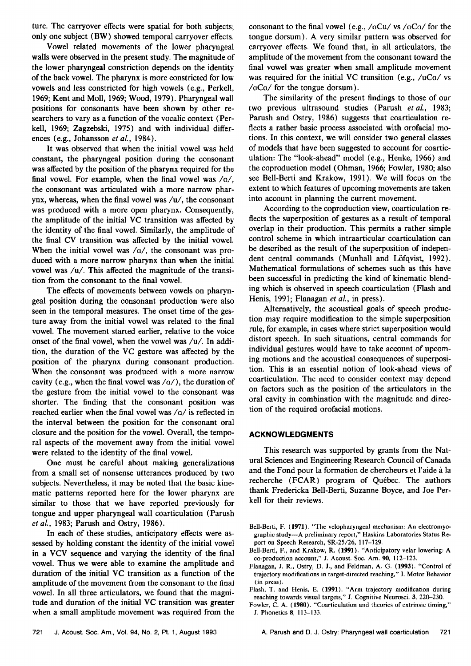**ture. The carryover effects were spatial for both subjects; only one subject (BW) showed temporal carryover effects.** 

**Vowel related movements of the lower pharyngeal walls were observed in the present study. The magnitude of the lower pharyngeal constriction depends on the identity of the back vowel. The pharynx is more constricted for low vowels and less constricted for high vowels (e.g., Perkell, 1969; Kent and Moll, 1969; Wood, 1979). Pharyngeal wall positions for consonants have been shown by other researchers to vary as a function of the vocalic context (Perkell, 1969; Zagzebski, 1975) and with individual differences (e.g., Johansson et al., 1984).** 

**It was observed that when the initial vowel was held constant, the pharyngeal position during the consonant was affected by the position of the pharynx required for the final vowel. For example, when the final vowel was/o/, the consonant was articulated with a more narrow pharynx, whereas, when the final vowel was/u/, the consonant was produced with a more open pharynx. Consequently, the amplitude of the initial VC transition was affected by the identity of the final vowel. Similarly, the amplitude of the final CV transition was affected by the initial vowel.**  When the initial vowel was /a/, the consonant was pro**duced with a more narrow pharynx than when the initial vowel was/u/. This affected the magnitude of the transition from the consonant to the final vowel.** 

**The effects of movements between vowels on pharyngeal position during the consonant production were also seen in the temporal measures. The onset time of the gesture away from the initial vowel was related to the final vowel. The movement started earlier, relative to the voice onset of the final vowel, when the vowel was/u/. In addition, the duration of the VC gesture was affected by the position of the pharynx during consonant production. When the consonant was produced with a more narrow cavity (e.g., when the final vowel was/a/), the duration of the gesture from the initial vowel to the consonant was shorter. The finding that the consonant position was**  reached earlier when the final vowel was /o/ is reflected in **the interval between the position for the consonant oral closure and the position for the vowel. Overall, the temporal aspects of the movement away from the initial vowel were related to the identity of the final vowel.** 

**One must be careful about making generalizations from a small set of nonsense utterances produced by two subjects. Nevertheless, it may be noted that the basic kinematic patterns reported here for the lower pharynx are similar to those that we have reported previously for tongue and upper pharyngeal wall coarticulation (Parush et al., 1983; Parush and Ostry, 1986).** 

**In each of these studies, anticipatory effects were as**sessed by holding constant the identity of the initial vowel **in a VCV sequence and varying the identity of the final vowel. Thus we were able to examine the amplitude and duration of the initial VC transition as a function of the amplitude of the movement from the consonant to the final vowel. In all three articulators, we found that the magnitude and duration of the initial VC transition was greater when a small amplitude movement was required from the**  consonant to the final vowel (e.g., /aCu/ vs /aCa/ for the **tongue dorsum). A very similar pattern was observed for carryover effects. We found that, in all articulators, the amplitude of the movement from the consonant toward the final vowel was greater when small amplitude movement**  was required for the initial VC transition (e.g., /uCo/ vs **/oCo/for the tongue dorsum).** 

**The similarity of the present findings to those of our two previous ultrasound studies (Parush etal., 1983; Parush and Ostry, 1986) suggests that coarticulation reflects a rather basic process associated with orofacial motions. In this context, we will consider two general classes of models that have been suggested to account for coarticulation: The "look-ahead" model (e.g., Henke, 1966) and the coproduction model (Ohman, 1966; Fowler, 1980; also see Bell-Berti and Krakow, 1991 ). We will focus on the extent to which features of upcoming movements are taken into account in planning the current movement.** 

**According to the coproduction view, coarticulation reflects the superposition of gestures as a result of temporal overlap in their production. This permits a rather simple control scheme in which intraarticular coarticulation can be described as the result of the superposition of indepen**dent central commands (Munhall and Löfqvist, 1992). **Mathematical formulations of schemes such as this have been successful in predicting the kind of kinematic blending which is observed in speech coarticulation (Flash and Henis, 1991; Flanagan et al., in press).** 

**Alternatively, the acoustical goals of speech production may require modification to the simple superposition rule, for example, in cases where strict superposition would distort speech. In such situations, central commands for individual gestures would have to take account of upcom**ing motions and the acoustical consequences of superposi**tion. This is an essential notion of look-ahead views of coarticulation. The need to consider context may depend on factors such as the position of the articulators in the oral cavity in combination with the magnitude and direction of the required orofacial motions.** 

# **ACKNOWLEDGMENTS**

**This research was supported by grants from the Natural Sciences and Engineering Research Council of Canada**  and the Fond pour la formation de chercheurs et l'aide à la recherche (FCAR) program of Québec. The authors **thank Fredericka Bell-Berti, Suzanne Boyce, and Joe Perkell for their reviews.** 

- **Bell-Berti, F. (1971). "The velopharyngeal mechanism: An electromyographic study--A preliminary report," Haskins Laboratories Status Report on Speech Research, SR-25/26, 117-129.**
- **Bell-Berti, F., and Krakow, R. (1991). "Anticipatory velar lowering: A co-production account," J. Acoust. Soc. Am. 90, 112-123.**
- **Flanagan, J. R., Ostry, D. J., and Feldman, A. G. (1993). "Control of trajectory modifications in target-directed reaching," J. Motor Behavior (in press).**
- **Flash, T. and Henis, E. (1991). "Arm trajectory modification during reaching towards visual targets," I. Cognitive Neurosci. 3, 220-230.**
- **Fowler, C. A. (1980). "Coarticulation and theories of extrinsic timing,"**
- **J. Phonetics 8, 113-133.**